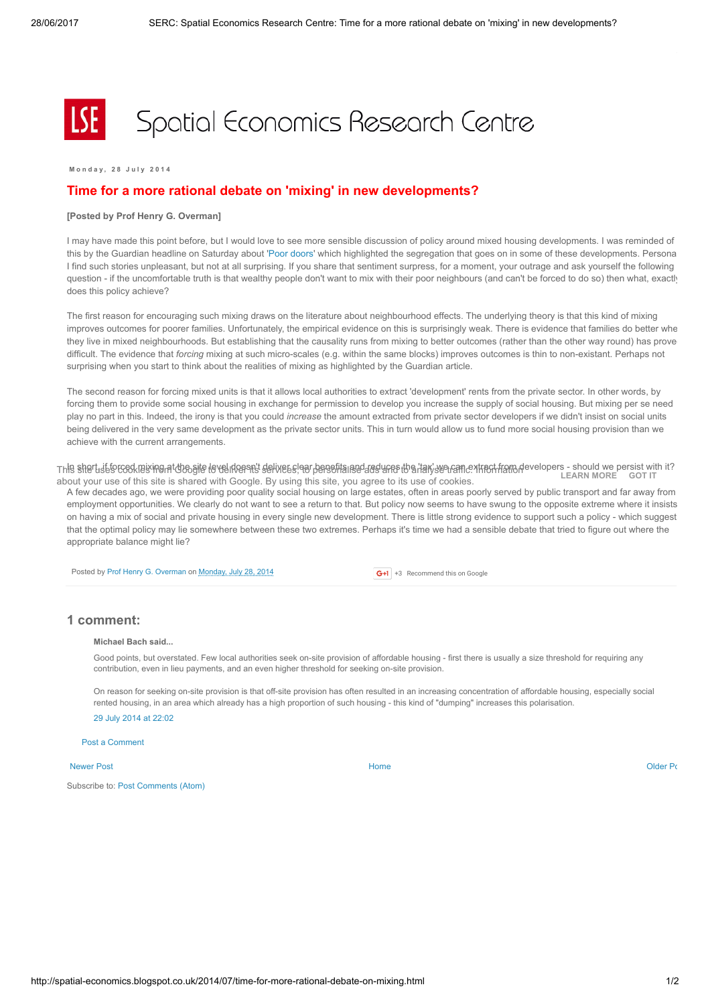# Spatial Economics Research Centre

M on d a v . 2 8 July 2014

## Time for a more rational debate on 'mixing' in new developments?

### [Posted by Prof Henry G. Overman]

I may have made this point before, but I would love to see more sensible discussion of policy around mixed housing developments. I was reminded of this by the Guardian headline on Saturday about 'Poor [doors](http://www.theguardian.com/society/2014/jul/25/poor-doors-segregation-london-flats)' which highlighted the segregation that goes on in some of these developments. Personal I find such stories unpleasant, but not at all surprising. If you share that sentiment surpress, for a moment, your outrage and ask yourself the following question - if the uncomfortable truth is that wealthy people don't want to mix with their poor neighbours (and can't be forced to do so) then what, exactly does this policy achieve?

The first reason for encouraging such mixing draws on the literature about neighbourhood effects. The underlying theory is that this kind of mixing improves outcomes for poorer families. Unfortunately, the empirical evidence on this is surprisingly weak. There is evidence that families do better whe they live in mixed neighbourhoods. But establishing that the causality runs from mixing to better outcomes (rather than the other way round) has prove difficult. The evidence that forcing mixing at such micro-scales (e.g. within the same blocks) improves outcomes is thin to non-existant. Perhaps not surprising when you start to think about the realities of mixing as highlighted by the Guardian article.

The second reason for forcing mixed units is that it allows local authorities to extract 'development' rents from the private sector. In other words, by forcing them to provide some social housing in exchange for permission to develop you increase the supply of social housing. But mixing per se need play no part in this. Indeed, the irony is that you could increase the amount extracted from private sector developers if we didn't insist on social units being delivered in the very same development as the private sector units. This in turn would allow us to fund more social housing provision than we achieve with the current arrangements.

This shert is broad new man do site to verifice the process of the section of the control of the start were the ment from developers - should we persist with it? about your use of this site is shared with Google. By using this site, you agree to its use of cookies. [LEARN](https://www.blogger.com/go/blogspot-cookies) MORE GOT IT

A few decades ago, we were providing poor quality social housing on large estates, often in areas poorly served by public transport and far away from employment opportunities. We clearly do not want to see a return to that. But policy now seems to have swung to the opposite extreme where it insists on having a mix of social and private housing in every single new development. There is little strong evidence to support such a policy - which suggest that the optimal policy may lie somewhere between these two extremes. Perhaps it's time we had a sensible debate that tried to figure out where the appropriate balance might lie?

Posted by Prof Henry G. [Overman](https://www.blogger.com/profile/15203876610491317062) on [Monday,](http://spatial-economics.blogspot.co.uk/2014/07/time-for-more-rational-debate-on-mixing.html) July 28, 2014

G+1 +3 Recommend this on Google

## 1 comment:

#### Michael Bach said...

Good points, but overstated. Few local authorities seek on-site provision of affordable housing - first there is usually a size threshold for requiring any contribution, even in lieu payments, and an even higher threshold for seeking on-site provision.

On reason for seeking on-site provision is that off-site provision has often resulted in an increasing concentration of affordable housing, especially social rented housing, in an area which already has a high proportion of such housing - this kind of "dumping" increases this polarisation. 29 July 2014 at [22:02](http://spatial-economics.blogspot.com/2014/07/time-for-more-rational-debate-on-mixing.html?showComment=1406667739547#c7281336027099312519)

Post a [Comment](https://www.blogger.com/comment.g?blogID=974562301377041914&postID=4342159165205504199)

#### [Newer](http://spatial-economics.blogspot.co.uk/2014/08/planning-supermarkets-away-for-less.html) Post and the contract of the contract of the contract [Home](http://spatial-economics.blogspot.co.uk/) contract of the contract of the contract of the contract of the contract of the contract of the contract of the contract of the contract of the contract of t

Subscribe to: Post [Comments](http://spatial-economics.blogspot.com/feeds/4342159165205504199/comments/default) (Atom)